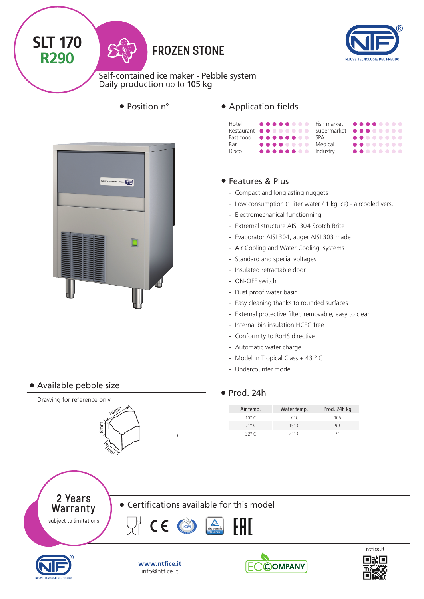

**SLT 170**

**R290**



Self-contained ice maker - Pebble system Daily production up to 105 kg